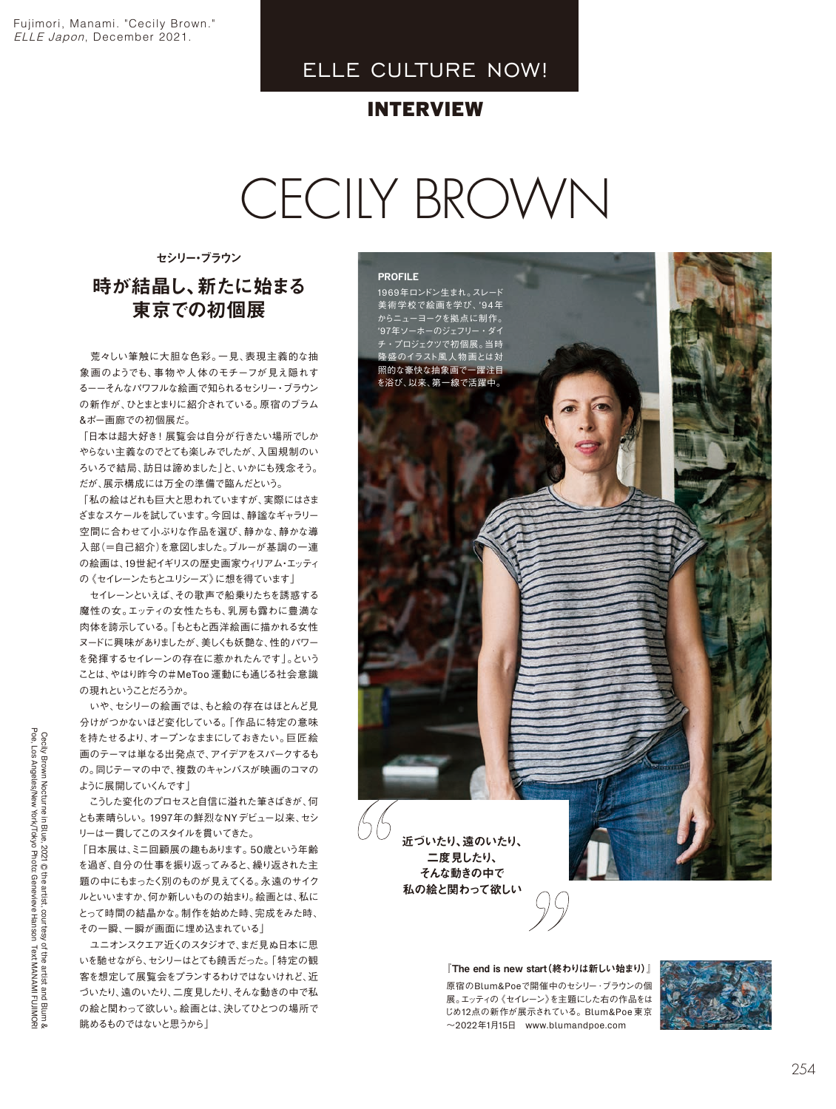## ELLE CULTURE NOW!

## INTERVIEW

# CECILY BROWN

セシリー・ブラウン

## 時が結晶し、新たに始まる 東京での初個展

荒々しい筆触に大胆な色彩。一見、表現主義的な抽 象画のようでも、事物や人体のモチーフが見え隠れす るーーそんなパワフルな絵画で知られるセシリー・ブラウン の新作が、ひとまとまりに紹介されている。原宿のブラム 。ポー画廊での初個展だ&

「日本は超大好き!展覧会は自分が行きたい場所でしか やらない主義なのでとても楽しみでしたが、入国規制のい ろいろで結局、訪日は諦めました」と、いかにも残念そう。 だが、展示構成には万全の準備で臨んだという。

「私の絵はどれも巨大と思われていますが、実際にはさま ざまなスケールを試しています。今回は、静謐なギャラリー 空間に合わせて小ぶりな作品を選び、静かな、静かな導 入部(=自己紹介)を意図しました。ブルーが基調の一連 の絵画は、19世紀イギリスの歴史画家ウィリアム・エッティ の《セイレーンたちとユリシーズ》に想を得ています」

セイレーンといえば、その歌声で船乗りたちを誘惑する 魔性の女。エッティの女性たちも、乳房も露わに豊満な 肉体を誇示している。「もともと西洋絵画に描かれる女性 ヌードに興味がありましたが、美しくも妖艶な、性的パワー を発揮するセイレーンの存在に惹かれたんです」。という ことは、やはり昨今の#MeToo 運動にも通じる社会意識 の現れということだろうか。

いや、セシリーの絵画では、もと絵の存在はほとんど見 分けがつかないほど変化している。「作品に特定の意味 を持たせるより、オープンなままにしておきたい。巨匠絵 画のテーマは単なる出発点で、アイデアをスパークするも の。同じテーマの中で、複数のキャンバスが映画のコマの 「ように展開していくんです

こうした変化のプロセスと自信に溢れた筆さばきが、何 とも素晴らしい。1997年の鮮烈なNYデビュー以来、セシ 。リーは一貫してこのスタイルを貫いてきた

「日本展は、ミニ回顧展の趣もあります。50歳という年齢 を過ぎ、自分の仕事を振り返ってみると、繰り返された主 題の中にもまったく別のものが見えてくる。永遠のサイク ルといいますか、何か新しいものの始まり。絵画とは、私に とって時間の結晶かな。制作を始めた時、完成をみた時、 その一瞬、一瞬が画面に埋め込まれている

ユニオンスクエア近くのスタジオで、まだ見ぬ日本に思 いを馳せながら、セシリーはとても饒舌だった。「特定の観 客を想定して展覧会をプランするわけではないけれど、近 づいたり、遠のいたり、二度見したり、そんな動きの中で私 の絵と関わって欲しい。絵画とは、決してひとつの場所で 「眺めるものではないと思うから

近づいたり、遠のいたり、 二度見したり、 PROFILE 1969年ロンドン生まれ。スレード 美術学校で絵画を学び、'94年 。からニューヨークを拠点に制作 '97年ソーホーのジェフリー・ダイ チ・プロジェクツで初個展。当時 隆盛のイラスト風人物画とは対 照的な豪快な抽象画で一躍注目 を浴び、以来、第一線で活躍中。

そんな動きの中で 私の絵と関わって欲しい

『The end is new start (終わりは新しい始まり)』

原宿のBlum&Poeで開催中のセシリー·ブラウンの個 展。エッティの《セイレーン》を主題にした右の作品をは じめ12点の新作が展示されている。Blum&Poe 東京  $\sim$ 2022年1月15日 www.blumandpoe.com